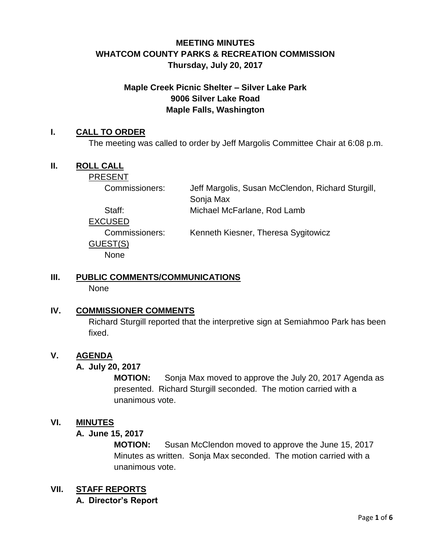## **MEETING MINUTES WHATCOM COUNTY PARKS & RECREATION COMMISSION Thursday, July 20, 2017**

## **Maple Creek Picnic Shelter – Silver Lake Park 9006 Silver Lake Road Maple Falls, Washington**

#### **I. CALL TO ORDER**

The meeting was called to order by Jeff Margolis Committee Chair at 6:08 p.m.

#### **II. ROLL CALL**

PRESENT

Commissioners: Jeff Margolis, Susan McClendon, Richard Sturgill, Sonja Max

Staff: Michael McFarlane, Rod Lamb

EXCUSED

GUEST(S) None

Commissioners: Kenneth Kiesner, Theresa Sygitowicz

# **III. PUBLIC COMMENTS/COMMUNICATIONS**

None

## **IV. COMMISSIONER COMMENTS**

Richard Sturgill reported that the interpretive sign at Semiahmoo Park has been fixed.

## **V. AGENDA**

#### **A. July 20, 2017**

**MOTION:** Sonja Max moved to approve the July 20, 2017 Agenda as presented. Richard Sturgill seconded. The motion carried with a unanimous vote.

#### **VI. MINUTES**

#### **A. June 15, 2017**

**MOTION:** Susan McClendon moved to approve the June 15, 2017 Minutes as written. Sonja Max seconded. The motion carried with a unanimous vote.

#### **VII. STAFF REPORTS**

#### **A. Director's Report**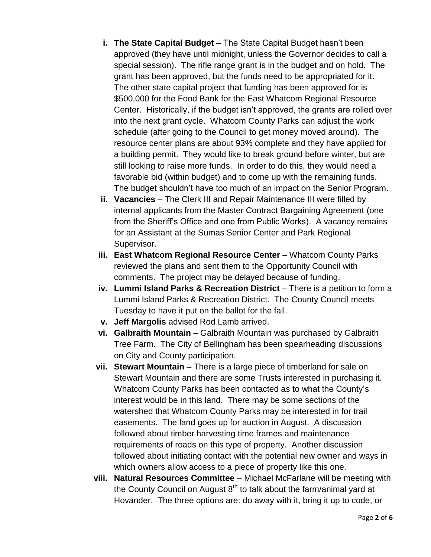- **i.** The State Capital Budget The State Capital Budget hasn't been approved (they have until midnight, unless the Governor decides to call a special session). The rifle range grant is in the budget and on hold. The grant has been approved, but the funds need to be appropriated for it. The other state capital project that funding has been approved for is \$500,000 for the Food Bank for the East Whatcom Regional Resource Center. Historically, if the budget isn't approved, the grants are rolled over into the next grant cycle. Whatcom County Parks can adjust the work schedule (after going to the Council to get money moved around). The resource center plans are about 93% complete and they have applied for a building permit. They would like to break ground before winter, but are still looking to raise more funds. In order to do this, they would need a favorable bid (within budget) and to come up with the remaining funds. The budget shouldn't have too much of an impact on the Senior Program.
- **ii. Vacancies**  The Clerk III and Repair Maintenance III were filled by internal applicants from the Master Contract Bargaining Agreement (one from the Sheriff's Office and one from Public Works). A vacancy remains for an Assistant at the Sumas Senior Center and Park Regional Supervisor.
- **iii. East Whatcom Regional Resource Center** Whatcom County Parks reviewed the plans and sent them to the Opportunity Council with comments. The project may be delayed because of funding.
- **iv. Lummi Island Parks & Recreation District** There is a petition to form a Lummi Island Parks & Recreation District. The County Council meets Tuesday to have it put on the ballot for the fall.
- **v. Jeff Margolis** advised Rod Lamb arrived.
- **vi. Galbraith Mountain** Galbraith Mountain was purchased by Galbraith Tree Farm. The City of Bellingham has been spearheading discussions on City and County participation.
- **vii. Stewart Mountain** There is a large piece of timberland for sale on Stewart Mountain and there are some Trusts interested in purchasing it. Whatcom County Parks has been contacted as to what the County's interest would be in this land. There may be some sections of the watershed that Whatcom County Parks may be interested in for trail easements. The land goes up for auction in August. A discussion followed about timber harvesting time frames and maintenance requirements of roads on this type of property. Another discussion followed about initiating contact with the potential new owner and ways in which owners allow access to a piece of property like this one.
- **viii. Natural Resources Committee**  Michael McFarlane will be meeting with the County Council on August  $8<sup>th</sup>$  to talk about the farm/animal yard at Hovander. The three options are: do away with it, bring it up to code, or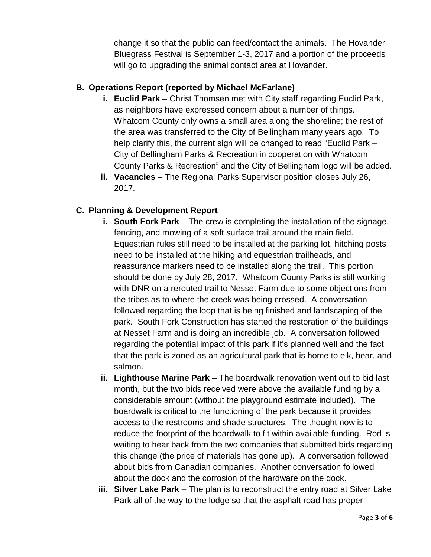change it so that the public can feed/contact the animals. The Hovander Bluegrass Festival is September 1-3, 2017 and a portion of the proceeds will go to upgrading the animal contact area at Hovander.

### **B. Operations Report (reported by Michael McFarlane)**

- **i. Euclid Park** Christ Thomsen met with City staff regarding Euclid Park, as neighbors have expressed concern about a number of things. Whatcom County only owns a small area along the shoreline; the rest of the area was transferred to the City of Bellingham many years ago. To help clarify this, the current sign will be changed to read "Euclid Park – City of Bellingham Parks & Recreation in cooperation with Whatcom County Parks & Recreation" and the City of Bellingham logo will be added.
- **ii. Vacancies**  The Regional Parks Supervisor position closes July 26, 2017.

### **C. Planning & Development Report**

- **i.** South Fork Park The crew is completing the installation of the signage, fencing, and mowing of a soft surface trail around the main field. Equestrian rules still need to be installed at the parking lot, hitching posts need to be installed at the hiking and equestrian trailheads, and reassurance markers need to be installed along the trail. This portion should be done by July 28, 2017. Whatcom County Parks is still working with DNR on a rerouted trail to Nesset Farm due to some objections from the tribes as to where the creek was being crossed. A conversation followed regarding the loop that is being finished and landscaping of the park. South Fork Construction has started the restoration of the buildings at Nesset Farm and is doing an incredible job. A conversation followed regarding the potential impact of this park if it's planned well and the fact that the park is zoned as an agricultural park that is home to elk, bear, and salmon.
- **ii. Lighthouse Marine Park**  The boardwalk renovation went out to bid last month, but the two bids received were above the available funding by a considerable amount (without the playground estimate included). The boardwalk is critical to the functioning of the park because it provides access to the restrooms and shade structures. The thought now is to reduce the footprint of the boardwalk to fit within available funding. Rod is waiting to hear back from the two companies that submitted bids regarding this change (the price of materials has gone up). A conversation followed about bids from Canadian companies. Another conversation followed about the dock and the corrosion of the hardware on the dock.
- **iii.** Silver Lake Park The plan is to reconstruct the entry road at Silver Lake Park all of the way to the lodge so that the asphalt road has proper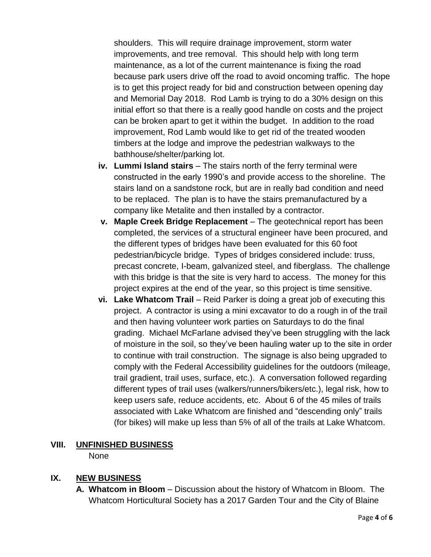shoulders. This will require drainage improvement, storm water improvements, and tree removal. This should help with long term maintenance, as a lot of the current maintenance is fixing the road because park users drive off the road to avoid oncoming traffic. The hope is to get this project ready for bid and construction between opening day and Memorial Day 2018. Rod Lamb is trying to do a 30% design on this initial effort so that there is a really good handle on costs and the project can be broken apart to get it within the budget. In addition to the road improvement, Rod Lamb would like to get rid of the treated wooden timbers at the lodge and improve the pedestrian walkways to the bathhouse/shelter/parking lot.

- **iv. Lummi Island stairs**  The stairs north of the ferry terminal were constructed in the early 1990's and provide access to the shoreline. The stairs land on a sandstone rock, but are in really bad condition and need to be replaced. The plan is to have the stairs premanufactured by a company like Metalite and then installed by a contractor.
- **v. Maple Creek Bridge Replacement**  The geotechnical report has been completed, the services of a structural engineer have been procured, and the different types of bridges have been evaluated for this 60 foot pedestrian/bicycle bridge. Types of bridges considered include: truss, precast concrete, I-beam, galvanized steel, and fiberglass. The challenge with this bridge is that the site is very hard to access. The money for this project expires at the end of the year, so this project is time sensitive.
- **vi. Lake Whatcom Trail** Reid Parker is doing a great job of executing this project. A contractor is using a mini excavator to do a rough in of the trail and then having volunteer work parties on Saturdays to do the final grading. Michael McFarlane advised they've been struggling with the lack of moisture in the soil, so they've been hauling water up to the site in order to continue with trail construction. The signage is also being upgraded to comply with the Federal Accessibility guidelines for the outdoors (mileage, trail gradient, trail uses, surface, etc.). A conversation followed regarding different types of trail uses (walkers/runners/bikers/etc.), legal risk, how to keep users safe, reduce accidents, etc. About 6 of the 45 miles of trails associated with Lake Whatcom are finished and "descending only" trails (for bikes) will make up less than 5% of all of the trails at Lake Whatcom.

## **VIII. UNFINISHED BUSINESS**

None

## **IX. NEW BUSINESS**

**A. Whatcom in Bloom** – Discussion about the history of Whatcom in Bloom. The Whatcom Horticultural Society has a 2017 Garden Tour and the City of Blaine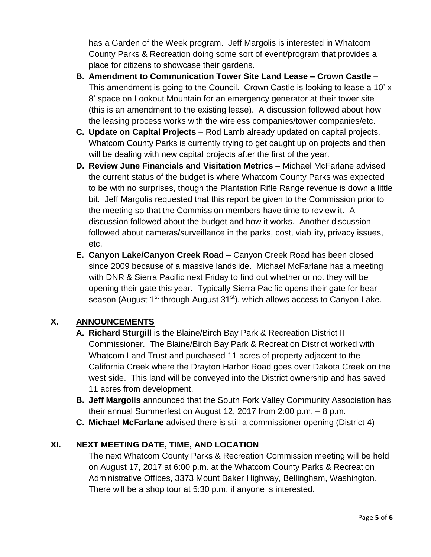has a Garden of the Week program. Jeff Margolis is interested in Whatcom County Parks & Recreation doing some sort of event/program that provides a place for citizens to showcase their gardens.

- **B. Amendment to Communication Tower Site Land Lease – Crown Castle** This amendment is going to the Council. Crown Castle is looking to lease a 10' x 8' space on Lookout Mountain for an emergency generator at their tower site (this is an amendment to the existing lease). A discussion followed about how the leasing process works with the wireless companies/tower companies/etc.
- **C. Update on Capital Projects** Rod Lamb already updated on capital projects. Whatcom County Parks is currently trying to get caught up on projects and then will be dealing with new capital projects after the first of the year.
- **D. Review June Financials and Visitation Metrics** Michael McFarlane advised the current status of the budget is where Whatcom County Parks was expected to be with no surprises, though the Plantation Rifle Range revenue is down a little bit. Jeff Margolis requested that this report be given to the Commission prior to the meeting so that the Commission members have time to review it. A discussion followed about the budget and how it works. Another discussion followed about cameras/surveillance in the parks, cost, viability, privacy issues, etc.
- **E. Canyon Lake/Canyon Creek Road** Canyon Creek Road has been closed since 2009 because of a massive landslide. Michael McFarlane has a meeting with DNR & Sierra Pacific next Friday to find out whether or not they will be opening their gate this year. Typically Sierra Pacific opens their gate for bear season (August  $1<sup>st</sup>$  through August  $31<sup>st</sup>$ ), which allows access to Canyon Lake.

## **X. ANNOUNCEMENTS**

- **A. Richard Sturgill** is the Blaine/Birch Bay Park & Recreation District II Commissioner. The Blaine/Birch Bay Park & Recreation District worked with Whatcom Land Trust and purchased 11 acres of property adjacent to the California Creek where the Drayton Harbor Road goes over Dakota Creek on the west side. This land will be conveyed into the District ownership and has saved 11 acres from development.
- **B. Jeff Margolis** announced that the South Fork Valley Community Association has their annual Summerfest on August 12, 2017 from 2:00 p.m. – 8 p.m.
- **C. Michael McFarlane** advised there is still a commissioner opening (District 4)

## **XI. NEXT MEETING DATE, TIME, AND LOCATION**

The next Whatcom County Parks & Recreation Commission meeting will be held on August 17, 2017 at 6:00 p.m. at the Whatcom County Parks & Recreation Administrative Offices, 3373 Mount Baker Highway, Bellingham, Washington. There will be a shop tour at 5:30 p.m. if anyone is interested.